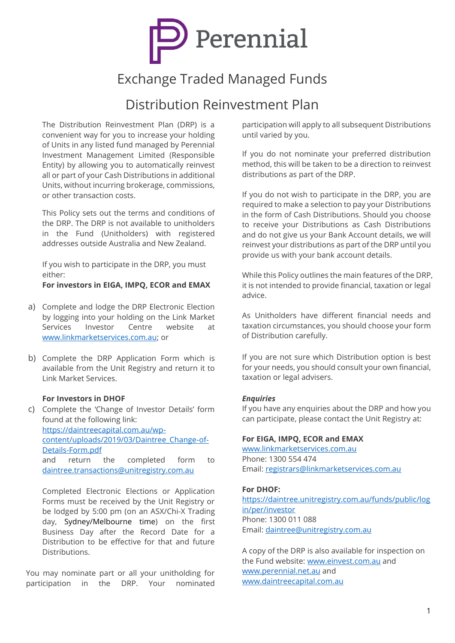

# Exchange Traded Managed Funds

# Distribution Reinvestment Plan

The Distribution Reinvestment Plan (DRP) is a convenient way for you to increase your holding of Units in any listed fund managed by Perennial Investment Management Limited (Responsible Entity) by allowing you to automatically reinvest all or part of your Cash Distributions in additional Units, without incurring brokerage, commissions, or other transaction costs.

This Policy sets out the terms and conditions of the DRP. The DRP is not available to unitholders in the Fund (Unitholders) with registered addresses outside Australia and New Zealand.

If you wish to participate in the DRP, you must either:

**For investors in EIGA, IMPQ, ECOR and EMAX**

- a) Complete and lodge the DRP Electronic Election by logging into your holding on the Link Market Services Investor Centre website at [www.linkmarketservices.com.au;](http://www.linkmarketservices.com.au/) or
- b) Complete the DRP Application Form which is available from the Unit Registry and return it to Link Market Services.

#### **For Investors in DHOF**

c) Complete the 'Change of Investor Details' form found at the following link: [https://daintreecapital.com.au/wp](https://daintreecapital.com.au/wp-content/uploads/2019/03/Daintree_Change-of-Details-Form.pdf)[content/uploads/2019/03/Daintree\\_Change-of-](https://daintreecapital.com.au/wp-content/uploads/2019/03/Daintree_Change-of-Details-Form.pdf)[Details-Form.pdf](https://daintreecapital.com.au/wp-content/uploads/2019/03/Daintree_Change-of-Details-Form.pdf) and return the completed form to [daintree.transactions@unitregistry.com.au](mailto:daintree.transactions@unitregistry.com.au)

Completed Electronic Elections or Application Forms must be received by the Unit Registry or be lodged by 5:00 pm (on an ASX/Chi-X Trading day, Sydney/Melbourne time) on the first Business Day after the Record Date for a Distribution to be effective for that and future **Distributions** 

You may nominate part or all your unitholding for participation in the DRP. Your nominated participation will apply to all subsequent Distributions until varied by you.

If you do not nominate your preferred distribution method, this will be taken to be a direction to reinvest distributions as part of the DRP.

If you do not wish to participate in the DRP, you are required to make a selection to pay your Distributions in the form of Cash Distributions. Should you choose to receive your Distributions as Cash Distributions and do not give us your Bank Account details, we will reinvest your distributions as part of the DRP until you provide us with your bank account details.

While this Policy outlines the main features of the DRP, it is not intended to provide financial, taxation or legal advice.

As Unitholders have different financial needs and taxation circumstances, you should choose your form of Distribution carefully.

If you are not sure which Distribution option is best for your needs, you should consult your own financial, taxation or legal advisers.

#### *Enquiries*

If you have any enquiries about the DRP and how you can participate, please contact the Unit Registry at:

#### **For EIGA, IMPQ, ECOR and EMAX**

[www.linkmarketservices.com.au](http://www.linkmarketservices.com.au/) Phone: 1300 554 474 Email: [registrars@linkmarketservices.com.au](mailto:registrars@linkmarketservices.com.au)

#### **For DHOF:**

[https://daintree.unitregistry.com.au/funds/public/log](https://daintree.unitregistry.com.au/funds/public/login/per/investor) [in/per/investor](https://daintree.unitregistry.com.au/funds/public/login/per/investor) Phone: 1300 011 088 Email: [daintree@unitregistry.com.au](mailto:daintree@unitregistry.com.au)

A copy of the DRP is also available for inspection on the Fund website: [www.einvest.com.au](http://www.einvest.com.au/) and [www.perennial.net.au](http://www.perennial.net.au/) and [www.daintreecapital.com.au](http://www.daintreecapital.com.au/)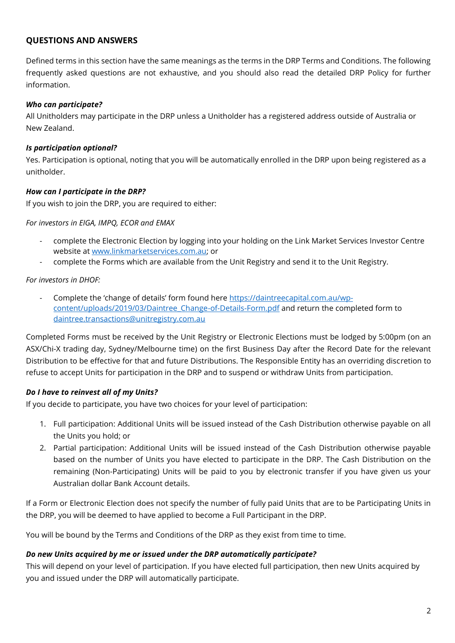# **QUESTIONS AND ANSWERS**

Defined terms in this section have the same meanings as the terms in the DRP Terms and Conditions. The following frequently asked questions are not exhaustive, and you should also read the detailed DRP Policy for further information.

#### *Who can participate?*

All Unitholders may participate in the DRP unless a Unitholder has a registered address outside of Australia or New Zealand.

#### *Is participation optional?*

Yes. Participation is optional, noting that you will be automatically enrolled in the DRP upon being registered as a unitholder.

#### *How can I participate in the DRP?*

If you wish to join the DRP, you are required to either:

*For investors in EIGA, IMPQ, ECOR and EMAX*

- complete the Electronic Election by logging into your holding on the Link Market Services Investor Centre website at [www.linkmarketservices.com.au;](http://www.linkmarketservices.com.au/) or
- complete the Forms which are available from the Unit Registry and send it to the Unit Registry.

*For investors in DHOF:*

Complete the 'change of details' form found here [https://daintreecapital.com.au/wp](https://daintreecapital.com.au/wp-content/uploads/2019/03/Daintree_Change-of-Details-Form.pdf)[content/uploads/2019/03/Daintree\\_Change-of-Details-Form.pdf](https://daintreecapital.com.au/wp-content/uploads/2019/03/Daintree_Change-of-Details-Form.pdf) and return the completed form to [daintree.transactions@unitregistry.com.au](mailto:daintree.transactions@unitregistry.com.au)

Completed Forms must be received by the Unit Registry or Electronic Elections must be lodged by 5:00pm (on an ASX/Chi-X trading day, Sydney/Melbourne time) on the first Business Day after the Record Date for the relevant Distribution to be effective for that and future Distributions. The Responsible Entity has an overriding discretion to refuse to accept Units for participation in the DRP and to suspend or withdraw Units from participation.

#### *Do I have to reinvest all of my Units?*

If you decide to participate, you have two choices for your level of participation:

- 1. Full participation: Additional Units will be issued instead of the Cash Distribution otherwise payable on all the Units you hold; or
- 2. Partial participation: Additional Units will be issued instead of the Cash Distribution otherwise payable based on the number of Units you have elected to participate in the DRP. The Cash Distribution on the remaining (Non-Participating) Units will be paid to you by electronic transfer if you have given us your Australian dollar Bank Account details.

If a Form or Electronic Election does not specify the number of fully paid Units that are to be Participating Units in the DRP, you will be deemed to have applied to become a Full Participant in the DRP.

You will be bound by the Terms and Conditions of the DRP as they exist from time to time.

#### *Do new Units acquired by me or issued under the DRP automatically participate?*

This will depend on your level of participation. If you have elected full participation, then new Units acquired by you and issued under the DRP will automatically participate.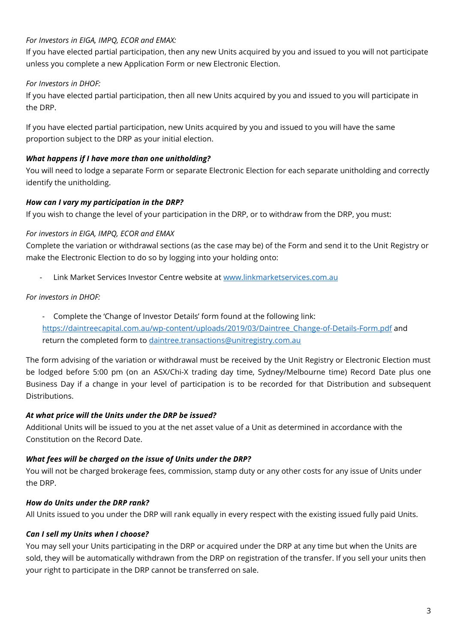# *For Investors in EIGA, IMPQ, ECOR and EMAX:*

If you have elected partial participation, then any new Units acquired by you and issued to you will not participate unless you complete a new Application Form or new Electronic Election.

# *For Investors in DHOF:*

If you have elected partial participation, then all new Units acquired by you and issued to you will participate in the DRP.

If you have elected partial participation, new Units acquired by you and issued to you will have the same proportion subject to the DRP as your initial election.

# *What happens if I have more than one unitholding?*

You will need to lodge a separate Form or separate Electronic Election for each separate unitholding and correctly identify the unitholding.

# *How can I vary my participation in the DRP?*

If you wish to change the level of your participation in the DRP, or to withdraw from the DRP, you must:

# *For investors in EIGA, IMPQ, ECOR and EMAX*

Complete the variation or withdrawal sections (as the case may be) of the Form and send it to the Unit Registry or make the Electronic Election to do so by logging into your holding onto:

- Link Market Services Investor Centre website at [www.linkmarketservices.com.au](http://www.linkmarketservices.com.au/)

# *For investors in DHOF:*

- Complete the 'Change of Investor Details' form found at the following link: [https://daintreecapital.com.au/wp-content/uploads/2019/03/Daintree\\_Change-of-Details-Form.pdf](https://daintreecapital.com.au/wp-content/uploads/2019/03/Daintree_Change-of-Details-Form.pdf) and return the completed form to [daintree.transactions@unitregistry.com.au](mailto:daintree.transactions@unitregistry.com.au)

The form advising of the variation or withdrawal must be received by the Unit Registry or Electronic Election must be lodged before 5:00 pm (on an ASX/Chi-X trading day time, Sydney/Melbourne time) Record Date plus one Business Day if a change in your level of participation is to be recorded for that Distribution and subsequent Distributions.

# *At what price will the Units under the DRP be issued?*

Additional Units will be issued to you at the net asset value of a Unit as determined in accordance with the Constitution on the Record Date.

# *What fees will be charged on the issue of Units under the DRP?*

You will not be charged brokerage fees, commission, stamp duty or any other costs for any issue of Units under the DRP.

# *How do Units under the DRP rank?*

All Units issued to you under the DRP will rank equally in every respect with the existing issued fully paid Units.

# *Can I sell my Units when I choose?*

You may sell your Units participating in the DRP or acquired under the DRP at any time but when the Units are sold, they will be automatically withdrawn from the DRP on registration of the transfer. If you sell your units then your right to participate in the DRP cannot be transferred on sale.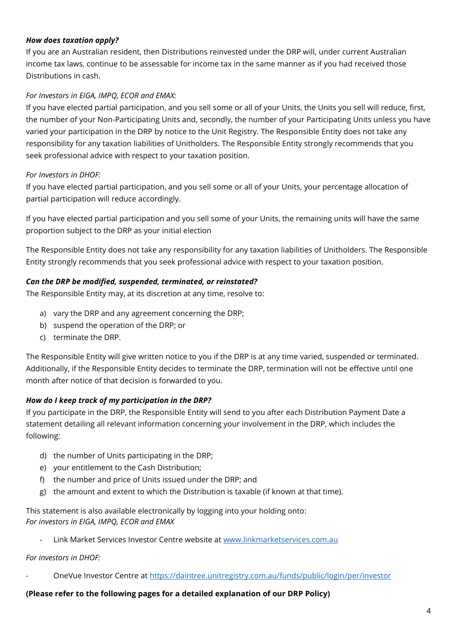# *How does taxation apply?*

If you are an Australian resident, then Distributions reinvested under the DRP will, under current Australian income tax laws, continue to be assessable for income tax in the same manner as if you had received those Distributions in cash.

## *For Investors in EIGA, IMPQ, ECOR and EMAX:*

If you have elected partial participation, and you sell some or all of your Units, the Units you sell will reduce, first, the number of your Non-Participating Units and, secondly, the number of your Participating Units unless you have varied your participation in the DRP by notice to the Unit Registry. The Responsible Entity does not take any responsibility for any taxation liabilities of Unitholders. The Responsible Entity strongly recommends that you seek professional advice with respect to your taxation position.

## *For Investors in DHOF:*

If you have elected partial participation, and you sell some or all of your Units, your percentage allocation of partial participation will reduce accordingly.

If you have elected partial participation and you sell some of your Units, the remaining units will have the same proportion subject to the DRP as your initial election

The Responsible Entity does not take any responsibility for any taxation liabilities of Unitholders. The Responsible Entity strongly recommends that you seek professional advice with respect to your taxation position.

#### *Can the DRP be modified, suspended, terminated, or reinstated?*

The Responsible Entity may, at its discretion at any time, resolve to:

- a) vary the DRP and any agreement concerning the DRP;
- b) suspend the operation of the DRP; or
- c) terminate the DRP.

The Responsible Entity will give written notice to you if the DRP is at any time varied, suspended or terminated. Additionally, if the Responsible Entity decides to terminate the DRP, termination will not be effective until one month after notice of that decision is forwarded to you.

# *How do I keep track of my participation in the DRP?*

If you participate in the DRP, the Responsible Entity will send to you after each Distribution Payment Date a statement detailing all relevant information concerning your involvement in the DRP, which includes the following:

- d) the number of Units participating in the DRP;
- e) your entitlement to the Cash Distribution;
- f) the number and price of Units issued under the DRP; and
- g) the amount and extent to which the Distribution is taxable (if known at that time).

This statement is also available electronically by logging into your holding onto: *For investors in EIGA, IMPQ, ECOR and EMAX*

- Link Market Services Investor Centre website at [www.linkmarketservices.com.au](http://www.linkmarketservices.com.au/)

#### *For investors in DHOF:*

- OneVue Investor Centre at<https://daintree.unitregistry.com.au/funds/public/login/per/investor>

#### **(Please refer to the following pages for a detailed explanation of our DRP Policy)**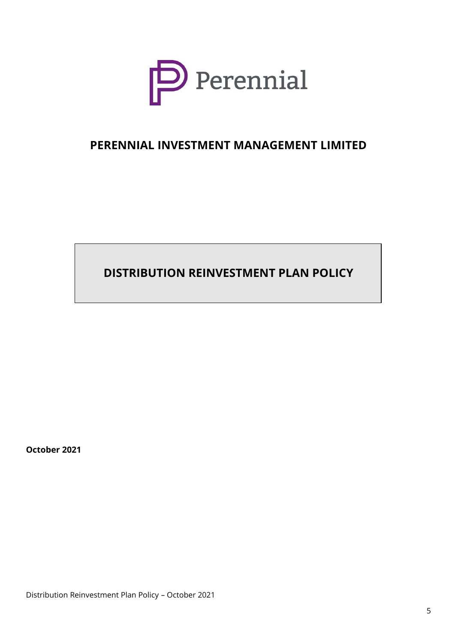

# **PERENNIAL INVESTMENT MANAGEMENT LIMITED**

**DISTRIBUTION REINVESTMENT PLAN POLICY**

**October 2021**

Distribution Reinvestment Plan Policy – October 2021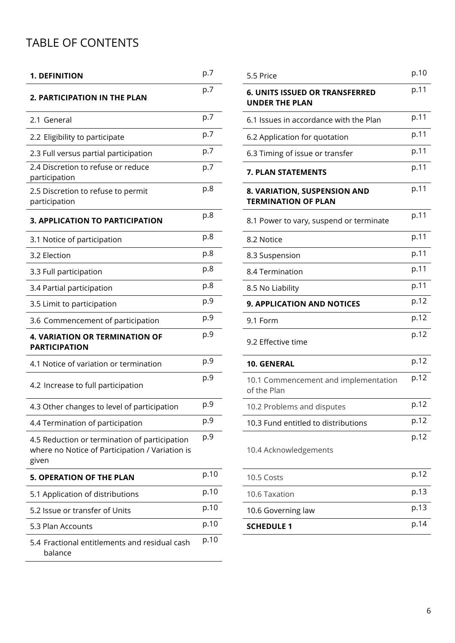# TABLE OF CONTENTS

| <b>1. DEFINITION</b>                                                                                      | p.7  | 5.5 Price                                                      | p.10 |
|-----------------------------------------------------------------------------------------------------------|------|----------------------------------------------------------------|------|
| 2. PARTICIPATION IN THE PLAN                                                                              | p.7  | <b>6. UNITS ISSUED OR TRANSFERRED</b><br><b>UNDER THE PLAN</b> | p.11 |
| 2.1 General                                                                                               | p.7  | 6.1 Issues in accordance with the Plan                         | p.11 |
| 2.2 Eligibility to participate                                                                            | p.7  | 6.2 Application for quotation                                  | p.11 |
| 2.3 Full versus partial participation                                                                     | p.7  | 6.3 Timing of issue or transfer                                | p.11 |
| 2.4 Discretion to refuse or reduce<br>participation                                                       | p.7  | 7. PLAN STATEMENTS                                             | p.11 |
| 2.5 Discretion to refuse to permit<br>participation                                                       | p.8  | 8. VARIATION, SUSPENSION AND<br><b>TERMINATION OF PLAN</b>     | p.11 |
| 3. APPLICATION TO PARTICIPATION                                                                           | p.8  | 8.1 Power to vary, suspend or terminate                        | p.11 |
| 3.1 Notice of participation                                                                               | p.8  | 8.2 Notice                                                     | p.11 |
| 3.2 Election                                                                                              | p.8  | 8.3 Suspension                                                 | p.11 |
| 3.3 Full participation                                                                                    | p.8  | 8.4 Termination                                                | p.11 |
| 3.4 Partial participation                                                                                 | p.8  | 8.5 No Liability                                               | p.11 |
| 3.5 Limit to participation                                                                                | p.9  | <b>9. APPLICATION AND NOTICES</b>                              | p.12 |
| 3.6 Commencement of participation                                                                         | p.9  | 9.1 Form                                                       | p.12 |
| <b>4. VARIATION OR TERMINATION OF</b><br><b>PARTICIPATION</b>                                             | p.9  | 9.2 Effective time                                             | p.12 |
| 4.1 Notice of variation or termination                                                                    | p.9  | 10. GENERAL                                                    | p.12 |
| 4.2 Increase to full participation                                                                        | p.9  | 10.1 Commencement and implementation<br>of the Plan            | p.12 |
| 4.3 Other changes to level of participation                                                               | p.9  | 10.2 Problems and disputes                                     | p.12 |
| 4.4 Termination of participation                                                                          | p.9  | 10.3 Fund entitled to distributions                            | p.12 |
| 4.5 Reduction or termination of participation<br>where no Notice of Participation / Variation is<br>given | p.9  | 10.4 Acknowledgements                                          | p.12 |
| <b>5. OPERATION OF THE PLAN</b>                                                                           | p.10 | 10.5 Costs                                                     | p.12 |
| 5.1 Application of distributions                                                                          | p.10 | 10.6 Taxation                                                  | p.13 |
| 5.2 Issue or transfer of Units                                                                            | p.10 | 10.6 Governing law                                             | p.13 |
| 5.3 Plan Accounts                                                                                         | p.10 | <b>SCHEDULE 1</b>                                              | p.14 |
| 5.4 Fractional entitlements and residual cash<br>balance                                                  | p.10 |                                                                |      |

| p.7  | 5.5 Price                                                      | p.10 |
|------|----------------------------------------------------------------|------|
| p.7  | <b>6. UNITS ISSUED OR TRANSFERRED</b><br><b>UNDER THE PLAN</b> | p.11 |
| p.7  | 6.1 Issues in accordance with the Plan                         | p.11 |
| p.7  | 6.2 Application for quotation                                  | p.11 |
| p.7  | 6.3 Timing of issue or transfer                                | p.11 |
| p.7  | <b>7. PLAN STATEMENTS</b>                                      | p.11 |
| p.8  | 8. VARIATION, SUSPENSION AND<br><b>TERMINATION OF PLAN</b>     | p.11 |
| p.8  | 8.1 Power to vary, suspend or terminate                        | p.11 |
| p.8  | 8.2 Notice                                                     | p.11 |
| p.8  | 8.3 Suspension                                                 | p.11 |
| p.8  | 8.4 Termination                                                | p.11 |
| p.8  | 8.5 No Liability                                               | p.11 |
| p.9  | 9. APPLICATION AND NOTICES                                     | p.12 |
| p.9  | 9.1 Form                                                       | p.12 |
| p.9  | 9.2 Effective time                                             | p.12 |
| p.9  | <b>10. GENERAL</b>                                             | p.12 |
| p.9  | 10.1 Commencement and implementation<br>of the Plan            | p.12 |
| p.9  | 10.2 Problems and disputes                                     | p.12 |
| p.9  | 10.3 Fund entitled to distributions                            | p.12 |
| p.9  | 10.4 Acknowledgements                                          | p.12 |
| p.10 | 10.5 Costs                                                     | p.12 |
| p.10 | 10.6 Taxation                                                  | p.13 |
| p.10 | 10.6 Governing law                                             | p.13 |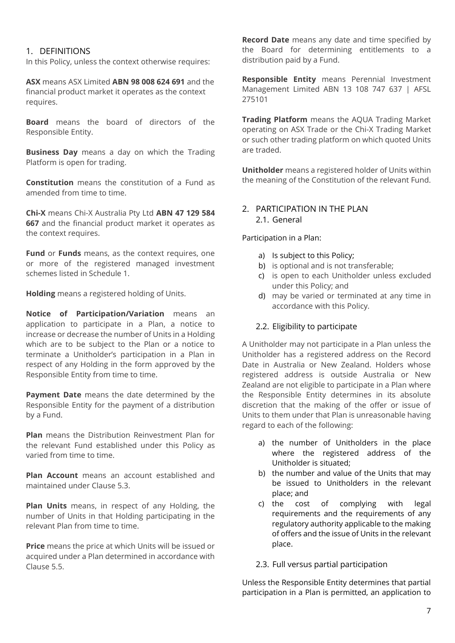## 1. DEFINITIONS

In this Policy, unless the context otherwise requires:

**ASX** means ASX Limited **ABN 98 008 624 691** and the financial product market it operates as the context requires.

**Board** means the board of directors of the Responsible Entity.

**Business Day** means a day on which the Trading Platform is open for trading.

**Constitution** means the constitution of a Fund as amended from time to time.

**Chi-X** means Chi-X Australia Pty Ltd **ABN 47 129 584 667** and the financial product market it operates as the context requires.

**Fund** or **Funds** means, as the context requires, one or more of the registered managed investment schemes listed in Schedule 1.

**Holding** means a registered holding of Units.

**Notice of Participation/Variation** means an application to participate in a Plan, a notice to increase or decrease the number of Units in a Holding which are to be subject to the Plan or a notice to terminate a Unitholder's participation in a Plan in respect of any Holding in the form approved by the Responsible Entity from time to time.

**Payment Date** means the date determined by the Responsible Entity for the payment of a distribution by a Fund.

**Plan** means the Distribution Reinvestment Plan for the relevant Fund established under this Policy as varied from time to time.

**Plan Account** means an account established and maintained under Clause 5.3.

**Plan Units** means, in respect of any Holding, the number of Units in that Holding participating in the relevant Plan from time to time.

**Price** means the price at which Units will be issued or acquired under a Plan determined in accordance with Clause 5.5.

**Record Date** means any date and time specified by the Board for determining entitlements to a distribution paid by a Fund.

**Responsible Entity** means Perennial Investment Management Limited ABN 13 108 747 637 | AFSL 275101

**Trading Platform** means the AQUA Trading Market operating on ASX Trade or the Chi-X Trading Market or such other trading platform on which quoted Units are traded.

**Unitholder** means a registered holder of Units within the meaning of the Constitution of the relevant Fund.

#### 2. PARTICIPATION IN THE PLAN 2.1. General

Participation in a Plan:

- a) Is subject to this Policy;
- b) is optional and is not transferable;
- c) is open to each Unitholder unless excluded under this Policy; and
- d) may be varied or terminated at any time in accordance with this Policy.

#### 2.2. Eligibility to participate

A Unitholder may not participate in a Plan unless the Unitholder has a registered address on the Record Date in Australia or New Zealand. Holders whose registered address is outside Australia or New Zealand are not eligible to participate in a Plan where the Responsible Entity determines in its absolute discretion that the making of the offer or issue of Units to them under that Plan is unreasonable having regard to each of the following:

- a) the number of Unitholders in the place where the registered address of the Unitholder is situated;
- b) the number and value of the Units that may be issued to Unitholders in the relevant place; and
- c) the cost of complying with legal requirements and the requirements of any regulatory authority applicable to the making of offers and the issue of Units in the relevant place.

#### 2.3. Full versus partial participation

Unless the Responsible Entity determines that partial participation in a Plan is permitted, an application to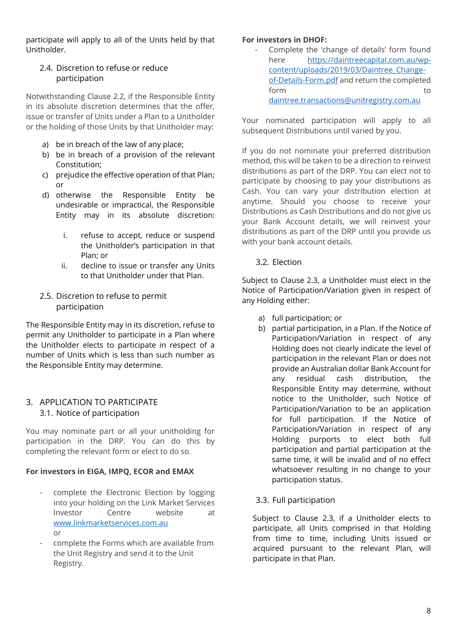participate will apply to all of the Units held by that Unitholder.

# 2.4. Discretion to refuse or reduce participation

Notwithstanding Clause 2.2, if the Responsible Entity in its absolute discretion determines that the offer, issue or transfer of Units under a Plan to a Unitholder or the holding of those Units by that Unitholder may:

- a) be in breach of the law of any place;
- b) be in breach of a provision of the relevant Constitution;
- c) prejudice the effective operation of that Plan; or
- d) otherwise the Responsible Entity be undesirable or impractical, the Responsible Entity may in its absolute discretion:
	- i. refuse to accept, reduce or suspend the Unitholder's participation in that Plan; or
	- ii. decline to issue or transfer any Units to that Unitholder under that Plan.
- 2.5. Discretion to refuse to permit participation

The Responsible Entity may in its discretion, refuse to permit any Unitholder to participate in a Plan where the Unitholder elects to participate in respect of a number of Units which is less than such number as the Responsible Entity may determine.

# 3. APPLICATION TO PARTICIPATE 3.1. Notice of participation

You may nominate part or all your unitholding for participation in the DRP. You can do this by completing the relevant form or elect to do so.

# **For investors in EIGA, IMPQ, ECOR and EMAX**

- complete the Electronic Election by logging into your holding on the Link Market Services Investor Centre website at [www.linkmarketservices.com.au](http://www.linkmarketservices.com.au/) or
- complete the Forms which are available from the Unit Registry and send it to the Unit Registry.

#### **For investors in DHOF:**

Complete the 'change of details' form found here [https://daintreecapital.com.au/wp](https://daintreecapital.com.au/wp-content/uploads/2019/03/Daintree_Change-of-Details-Form.pdf)[content/uploads/2019/03/Daintree\\_Change](https://daintreecapital.com.au/wp-content/uploads/2019/03/Daintree_Change-of-Details-Form.pdf)[of-Details-Form.pdf](https://daintreecapital.com.au/wp-content/uploads/2019/03/Daintree_Change-of-Details-Form.pdf) and return the completed form to the state of the state of the state of the state of the state of the state of the state of the state o [daintree.transactions@unitregistry.com.au](mailto:daintree.transactions@unitregistry.com.au)

Your nominated participation will apply to all subsequent Distributions until varied by you.

If you do not nominate your preferred distribution method, this will be taken to be a direction to reinvest distributions as part of the DRP. You can elect not to participate by choosing to pay your distributions as Cash. You can vary your distribution election at anytime. Should you choose to receive your Distributions as Cash Distributions and do not give us your Bank Account details, we will reinvest your distributions as part of the DRP until you provide us with your bank account details.

# 3.2. Election

Subject to Clause 2.3, a Unitholder must elect in the Notice of Participation/Variation given in respect of any Holding either:

- a) full participation; or
- b) partial participation, in a Plan. If the Notice of Participation/Variation in respect of any Holding does not clearly indicate the level of participation in the relevant Plan or does not provide an Australian dollar Bank Account for any residual cash distribution, the Responsible Entity may determine, without notice to the Unitholder, such Notice of Participation/Variation to be an application for full participation. If the Notice of Participation/Variation in respect of any Holding purports to elect both full participation and partial participation at the same time, it will be invalid and of no effect whatsoever resulting in no change to your participation status.
- 3.3. Full participation

Subject to Clause 2.3, if a Unitholder elects to participate, all Units comprised in that Holding from time to time, including Units issued or acquired pursuant to the relevant Plan, will participate in that Plan.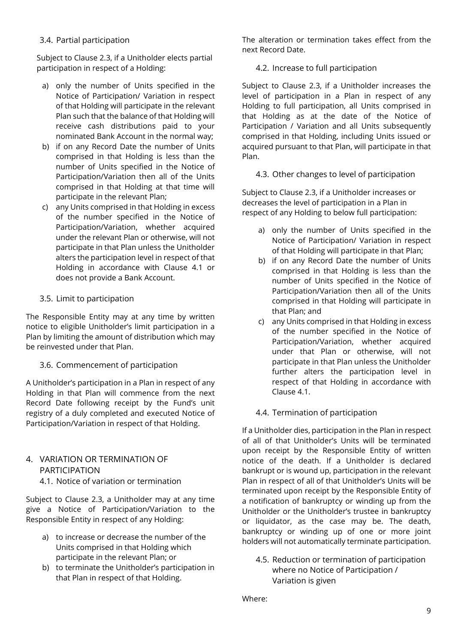# 3.4. Partial participation

Subject to Clause 2.3, if a Unitholder elects partial participation in respect of a Holding:

- a) only the number of Units specified in the Notice of Participation/ Variation in respect of that Holding will participate in the relevant Plan such that the balance of that Holding will receive cash distributions paid to your nominated Bank Account in the normal way;
- b) if on any Record Date the number of Units comprised in that Holding is less than the number of Units specified in the Notice of Participation/Variation then all of the Units comprised in that Holding at that time will participate in the relevant Plan;
- c) any Units comprised in that Holding in excess of the number specified in the Notice of Participation/Variation, whether acquired under the relevant Plan or otherwise, will not participate in that Plan unless the Unitholder alters the participation level in respect of that Holding in accordance with Clause 4.1 or does not provide a Bank Account.

# 3.5. Limit to participation

The Responsible Entity may at any time by written notice to eligible Unitholder's limit participation in a Plan by limiting the amount of distribution which may be reinvested under that Plan.

#### 3.6. Commencement of participation

A Unitholder's participation in a Plan in respect of any Holding in that Plan will commence from the next Record Date following receipt by the Fund's unit registry of a duly completed and executed Notice of Participation/Variation in respect of that Holding.

# 4. VARIATION OR TERMINATION OF PARTICIPATION

4.1. Notice of variation or termination

Subject to Clause 2.3, a Unitholder may at any time give a Notice of Participation/Variation to the Responsible Entity in respect of any Holding:

- a) to increase or decrease the number of the Units comprised in that Holding which participate in the relevant Plan; or
- b) to terminate the Unitholder's participation in that Plan in respect of that Holding.

The alteration or termination takes effect from the next Record Date.

#### 4.2. Increase to full participation

Subject to Clause 2.3, if a Unitholder increases the level of participation in a Plan in respect of any Holding to full participation, all Units comprised in that Holding as at the date of the Notice of Participation / Variation and all Units subsequently comprised in that Holding, including Units issued or acquired pursuant to that Plan, will participate in that Plan.

## 4.3. Other changes to level of participation

Subject to Clause 2.3, if a Unitholder increases or decreases the level of participation in a Plan in respect of any Holding to below full participation:

- a) only the number of Units specified in the Notice of Participation/ Variation in respect of that Holding will participate in that Plan;
- b) if on any Record Date the number of Units comprised in that Holding is less than the number of Units specified in the Notice of Participation/Variation then all of the Units comprised in that Holding will participate in that Plan; and
- c) any Units comprised in that Holding in excess of the number specified in the Notice of Participation/Variation, whether acquired under that Plan or otherwise, will not participate in that Plan unless the Unitholder further alters the participation level in respect of that Holding in accordance with Clause 4.1.

#### 4.4. Termination of participation

If a Unitholder dies, participation in the Plan in respect of all of that Unitholder's Units will be terminated upon receipt by the Responsible Entity of written notice of the death. If a Unitholder is declared bankrupt or is wound up, participation in the relevant Plan in respect of all of that Unitholder's Units will be terminated upon receipt by the Responsible Entity of a notification of bankruptcy or winding up from the Unitholder or the Unitholder's trustee in bankruptcy or liquidator, as the case may be. The death, bankruptcy or winding up of one or more joint holders will not automatically terminate participation.

4.5. Reduction or termination of participation where no Notice of Participation / Variation is given

Where: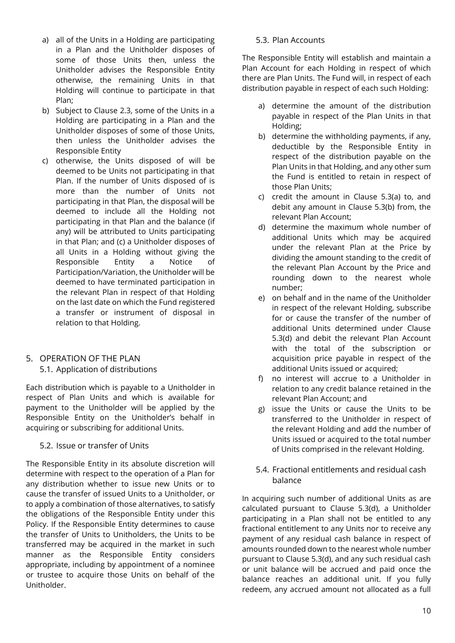- a) all of the Units in a Holding are participating in a Plan and the Unitholder disposes of some of those Units then, unless the Unitholder advises the Responsible Entity otherwise, the remaining Units in that Holding will continue to participate in that Plan;
- b) Subject to Clause 2.3, some of the Units in a Holding are participating in a Plan and the Unitholder disposes of some of those Units, then unless the Unitholder advises the Responsible Entity
- c) otherwise, the Units disposed of will be deemed to be Units not participating in that Plan. If the number of Units disposed of is more than the number of Units not participating in that Plan, the disposal will be deemed to include all the Holding not participating in that Plan and the balance (if any) will be attributed to Units participating in that Plan; and (c) a Unitholder disposes of all Units in a Holding without giving the Responsible Entity a Notice of Participation/Variation, the Unitholder will be deemed to have terminated participation in the relevant Plan in respect of that Holding on the last date on which the Fund registered a transfer or instrument of disposal in relation to that Holding.

# 5. OPERATION OF THE PLAN

#### 5.1. Application of distributions

Each distribution which is payable to a Unitholder in respect of Plan Units and which is available for payment to the Unitholder will be applied by the Responsible Entity on the Unitholder's behalf in acquiring or subscribing for additional Units.

#### 5.2. Issue or transfer of Units

The Responsible Entity in its absolute discretion will determine with respect to the operation of a Plan for any distribution whether to issue new Units or to cause the transfer of issued Units to a Unitholder, or to apply a combination of those alternatives, to satisfy the obligations of the Responsible Entity under this Policy. If the Responsible Entity determines to cause the transfer of Units to Unitholders, the Units to be transferred may be acquired in the market in such manner as the Responsible Entity considers appropriate, including by appointment of a nominee or trustee to acquire those Units on behalf of the Unitholder.

#### 5.3. Plan Accounts

The Responsible Entity will establish and maintain a Plan Account for each Holding in respect of which there are Plan Units. The Fund will, in respect of each distribution payable in respect of each such Holding:

- a) determine the amount of the distribution payable in respect of the Plan Units in that Holding;
- b) determine the withholding payments, if any, deductible by the Responsible Entity in respect of the distribution payable on the Plan Units in that Holding, and any other sum the Fund is entitled to retain in respect of those Plan Units;
- c) credit the amount in Clause 5.3(a) to, and debit any amount in Clause 5.3(b) from, the relevant Plan Account;
- d) determine the maximum whole number of additional Units which may be acquired under the relevant Plan at the Price by dividing the amount standing to the credit of the relevant Plan Account by the Price and rounding down to the nearest whole number;
- e) on behalf and in the name of the Unitholder in respect of the relevant Holding, subscribe for or cause the transfer of the number of additional Units determined under Clause 5.3(d) and debit the relevant Plan Account with the total of the subscription or acquisition price payable in respect of the additional Units issued or acquired;
- f) no interest will accrue to a Unitholder in relation to any credit balance retained in the relevant Plan Account; and
- g) issue the Units or cause the Units to be transferred to the Unitholder in respect of the relevant Holding and add the number of Units issued or acquired to the total number of Units comprised in the relevant Holding.
- 5.4. Fractional entitlements and residual cash balance

In acquiring such number of additional Units as are calculated pursuant to Clause 5.3(d), a Unitholder participating in a Plan shall not be entitled to any fractional entitlement to any Units nor to receive any payment of any residual cash balance in respect of amounts rounded down to the nearest whole number pursuant to Clause 5.3(d), and any such residual cash or unit balance will be accrued and paid once the balance reaches an additional unit. If you fully redeem, any accrued amount not allocated as a full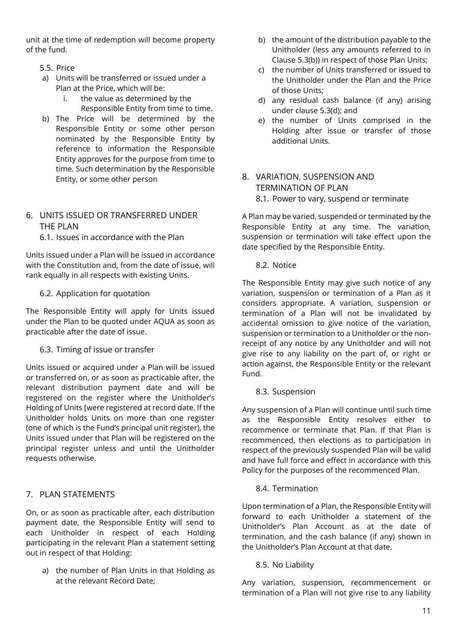unit at the time of redemption will become property of the fund.

- 5.5. Price
- a) Units will be transferred or issued under a Plan at the Price, which will be:
	- i. the value as determined by the Responsible Entity from time to time.
- b) The Price will be determined by the Responsible Entity or some other person nominated by the Responsible Entity by reference to information the Responsible Entity approves for the purpose from time to time. Such determination by the Responsible Entity, or some other person

# 6. UNITS ISSUED OR TRANSFERRED UNDER THE PLAN

6.1. Issues in accordance with the Plan

Units issued under a Plan will be issued in accordance with the Constitution and, from the date of issue, will rank equally in all respects with existing Units.

# 6.2. Application for quotation

The Responsible Entity will apply for Units issued under the Plan to be quoted under AQUA as soon as practicable after the date of issue.

6.3. Timing of issue or transfer

Units issued or acquired under a Plan will be issued or transferred on, or as soon as practicable after, the relevant distribution payment date and will be registered on the register where the Unitholder's Holding of Units [were registered at record date. If the Unitholder holds Units on more than one register (one of which is the Fund's principal unit register), the Units issued under that Plan will be registered on the principal register unless and until the Unitholder requests otherwise.

# 7. PLAN STATEMENTS

On, or as soon as practicable after, each distribution payment date, the Responsible Entity will send to each Unitholder in respect of each Holding participating in the relevant Plan a statement setting out in respect of that Holding:

a) the number of Plan Units in that Holding as at the relevant Record Date;

- b) the amount of the distribution payable to the Unitholder (less any amounts referred to in Clause 5.3(b)) in respect of those Plan Units;
- c) the number of Units transferred or issued to the Unitholder under the Plan and the Price of those Units;
- d) any residual cash balance (if any) arising under clause 5.3(d); and
- e) the number of Units comprised in the Holding after issue or transfer of those additional Units.
- 8. VARIATION, SUSPENSION AND TERMINATION OF PLAN 8.1. Power to vary, suspend or terminate

A Plan may be varied, suspended or terminated by the Responsible Entity at any time. The variation, suspension or termination will take effect upon the date specified by the Responsible Entity.

8.2. Notice

The Responsible Entity may give such notice of any variation, suspension or termination of a Plan as it considers appropriate. A variation, suspension or termination of a Plan will not be invalidated by accidental omission to give notice of the variation, suspension or termination to a Unitholder or the nonreceipt of any notice by any Unitholder and will not give rise to any liability on the part of, or right or action against, the Responsible Entity or the relevant Fund.

8.3. Suspension

Any suspension of a Plan will continue until such time as the Responsible Entity resolves either to recommence or terminate that Plan. If that Plan is recommenced, then elections as to participation in respect of the previously suspended Plan will be valid and have full force and effect in accordance with this Policy for the purposes of the recommenced Plan.

# 8.4. Termination

Upon termination of a Plan, the Responsible Entity will forward to each Unitholder a statement of the Unitholder's Plan Account as at the date of termination, and the cash balance (if any) shown in the Unitholder's Plan Account at that date.

8.5. No Liability

Any variation, suspension, recommencement or termination of a Plan will not give rise to any liability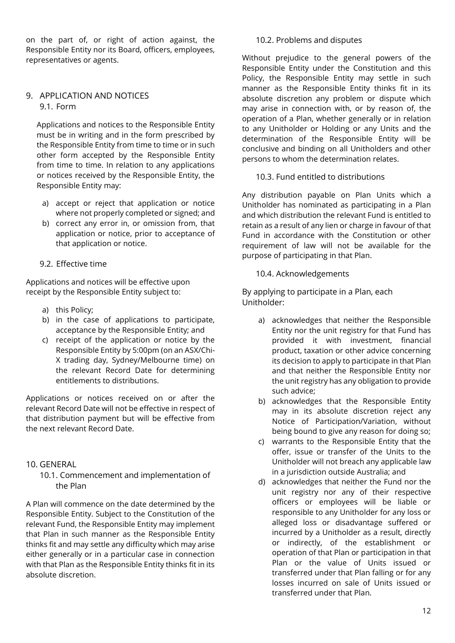on the part of, or right of action against, the Responsible Entity nor its Board, officers, employees, representatives or agents.

#### 9. APPLICATION AND NOTICES 9.1. Form

Applications and notices to the Responsible Entity must be in writing and in the form prescribed by the Responsible Entity from time to time or in such other form accepted by the Responsible Entity from time to time. In relation to any applications or notices received by the Responsible Entity, the Responsible Entity may:

- a) accept or reject that application or notice where not properly completed or signed; and
- b) correct any error in, or omission from, that application or notice, prior to acceptance of that application or notice.
- 9.2. Effective time

Applications and notices will be effective upon receipt by the Responsible Entity subject to:

- a) this Policy;
- b) in the case of applications to participate, acceptance by the Responsible Entity; and
- c) receipt of the application or notice by the Responsible Entity by 5:00pm (on an ASX/Chi-X trading day, Sydney/Melbourne time) on the relevant Record Date for determining entitlements to distributions.

Applications or notices received on or after the relevant Record Date will not be effective in respect of that distribution payment but will be effective from the next relevant Record Date.

# 10. GENERAL

10.1. Commencement and implementation of the Plan

A Plan will commence on the date determined by the Responsible Entity. Subject to the Constitution of the relevant Fund, the Responsible Entity may implement that Plan in such manner as the Responsible Entity thinks fit and may settle any difficulty which may arise either generally or in a particular case in connection with that Plan as the Responsible Entity thinks fit in its absolute discretion.

#### 10.2. Problems and disputes

Without prejudice to the general powers of the Responsible Entity under the Constitution and this Policy, the Responsible Entity may settle in such manner as the Responsible Entity thinks fit in its absolute discretion any problem or dispute which may arise in connection with, or by reason of, the operation of a Plan, whether generally or in relation to any Unitholder or Holding or any Units and the determination of the Responsible Entity will be conclusive and binding on all Unitholders and other persons to whom the determination relates.

10.3. Fund entitled to distributions

Any distribution payable on Plan Units which a Unitholder has nominated as participating in a Plan and which distribution the relevant Fund is entitled to retain as a result of any lien or charge in favour of that Fund in accordance with the Constitution or other requirement of law will not be available for the purpose of participating in that Plan.

## 10.4. Acknowledgements

By applying to participate in a Plan, each Unitholder:

- a) acknowledges that neither the Responsible Entity nor the unit registry for that Fund has provided it with investment, financial product, taxation or other advice concerning its decision to apply to participate in that Plan and that neither the Responsible Entity nor the unit registry has any obligation to provide such advice;
- b) acknowledges that the Responsible Entity may in its absolute discretion reject any Notice of Participation/Variation, without being bound to give any reason for doing so;
- c) warrants to the Responsible Entity that the offer, issue or transfer of the Units to the Unitholder will not breach any applicable law in a jurisdiction outside Australia; and
- d) acknowledges that neither the Fund nor the unit registry nor any of their respective officers or employees will be liable or responsible to any Unitholder for any loss or alleged loss or disadvantage suffered or incurred by a Unitholder as a result, directly or indirectly, of the establishment or operation of that Plan or participation in that Plan or the value of Units issued or transferred under that Plan falling or for any losses incurred on sale of Units issued or transferred under that Plan.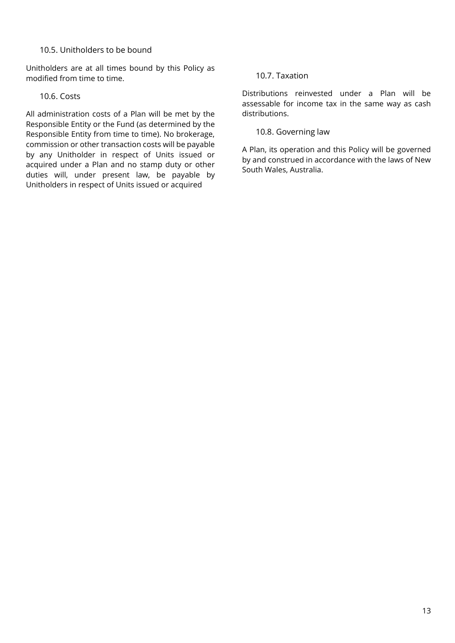## 10.5. Unitholders to be bound

Unitholders are at all times bound by this Policy as modified from time to time.

## 10.6. Costs

All administration costs of a Plan will be met by the Responsible Entity or the Fund (as determined by the Responsible Entity from time to time). No brokerage, commission or other transaction costs will be payable by any Unitholder in respect of Units issued or acquired under a Plan and no stamp duty or other duties will, under present law, be payable by Unitholders in respect of Units issued or acquired

## 10.7. Taxation

Distributions reinvested under a Plan will be assessable for income tax in the same way as cash distributions.

#### 10.8. Governing law

A Plan, its operation and this Policy will be governed by and construed in accordance with the laws of New South Wales, Australia.